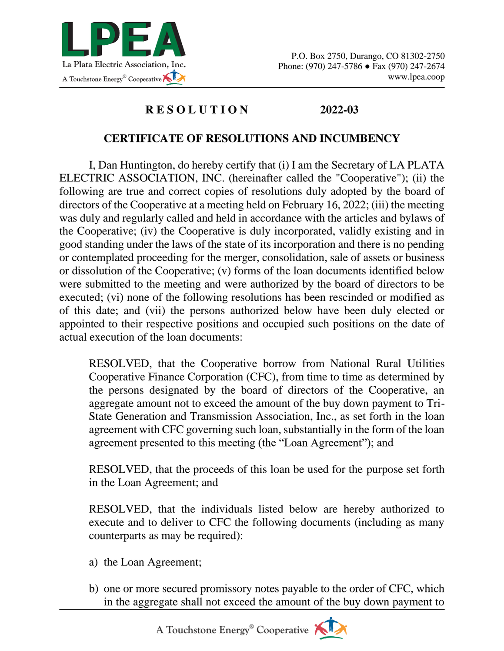

## **R E S O L U T I O N 2022-03**

## **CERTIFICATE OF RESOLUTIONS AND INCUMBENCY**

I, Dan Huntington, do hereby certify that (i) I am the Secretary of LA PLATA ELECTRIC ASSOCIATION, INC. (hereinafter called the "Cooperative"); (ii) the following are true and correct copies of resolutions duly adopted by the board of directors of the Cooperative at a meeting held on February 16, 2022; (iii) the meeting was duly and regularly called and held in accordance with the articles and bylaws of the Cooperative; (iv) the Cooperative is duly incorporated, validly existing and in good standing under the laws of the state of its incorporation and there is no pending or contemplated proceeding for the merger, consolidation, sale of assets or business or dissolution of the Cooperative; (v) forms of the loan documents identified below were submitted to the meeting and were authorized by the board of directors to be executed; (vi) none of the following resolutions has been rescinded or modified as of this date; and (vii) the persons authorized below have been duly elected or appointed to their respective positions and occupied such positions on the date of actual execution of the loan documents:

RESOLVED, that the Cooperative borrow from National Rural Utilities Cooperative Finance Corporation (CFC), from time to time as determined by the persons designated by the board of directors of the Cooperative, an aggregate amount not to exceed the amount of the buy down payment to Tri-State Generation and Transmission Association, Inc., as set forth in the loan agreement with CFC governing such loan, substantially in the form of the loan agreement presented to this meeting (the "Loan Agreement"); and

RESOLVED, that the proceeds of this loan be used for the purpose set forth in the Loan Agreement; and

RESOLVED, that the individuals listed below are hereby authorized to execute and to deliver to CFC the following documents (including as many counterparts as may be required):

- a) the Loan Agreement;
- b) one or more secured promissory notes payable to the order of CFC, which in the aggregate shall not exceed the amount of the buy down payment to